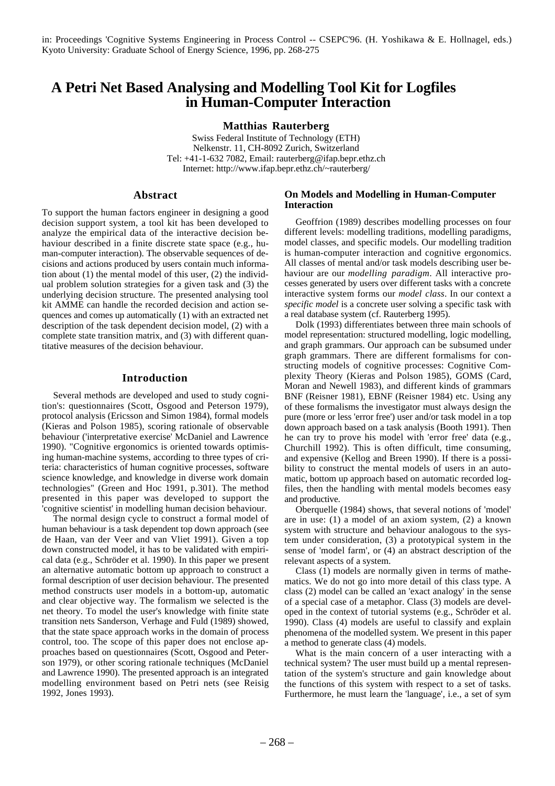# **A Petri Net Based Analysing and Modelling Tool Kit for Logfiles in Human-Computer Interaction**

**Matthias Rauterberg**

Swiss Federal Institute of Technology (ETH) Nelkenstr. 11, CH-8092 Zurich, Switzerland Tel: +41-1-632 7082, Email: rauterberg@ifap.bepr.ethz.ch Internet: http://www.ifap.bepr.ethz.ch/~rauterberg/

## **Abstract**

To support the human factors engineer in designing a good decision support system, a tool kit has been developed to analyze the empirical data of the interactive decision behaviour described in a finite discrete state space (e.g., human-computer interaction). The observable sequences of decisions and actions produced by users contain much information about (1) the mental model of this user, (2) the individual problem solution strategies for a given task and (3) the underlying decision structure. The presented analysing tool kit AMME can handle the recorded decision and action sequences and comes up automatically (1) with an extracted net description of the task dependent decision model, (2) with a complete state transition matrix, and (3) with different quantitative measures of the decision behaviour.

## **Introduction**

Several methods are developed and used to study cognition's: questionnaires (Scott, Osgood and Peterson 1979), protocol analysis (Ericsson and Simon 1984), formal models (Kieras and Polson 1985), scoring rationale of observable behaviour ('interpretative exercise' McDaniel and Lawrence 1990). "Cognitive ergonomics is oriented towards optimising human-machine systems, according to three types of criteria: characteristics of human cognitive processes, software science knowledge, and knowledge in diverse work domain technologies" (Green and Hoc 1991, p.301). The method presented in this paper was developed to support the 'cognitive scientist' in modelling human decision behaviour.

The normal design cycle to construct a formal model of human behaviour is a task dependent top down approach (see de Haan, van der Veer and van Vliet 1991). Given a top down constructed model, it has to be validated with empirical data (e.g., Schröder et al. 1990). In this paper we present an alternative automatic bottom up approach to construct a formal description of user decision behaviour. The presented method constructs user models in a bottom-up, automatic and clear objective way. The formalism we selected is the net theory. To model the user's knowledge with finite state transition nets Sanderson, Verhage and Fuld (1989) showed, that the state space approach works in the domain of process control, too. The scope of this paper does not enclose approaches based on questionnaires (Scott, Osgood and Peterson 1979), or other scoring rationale techniques (McDaniel and Lawrence 1990). The presented approach is an integrated modelling environment based on Petri nets (see Reisig 1992, Jones 1993).

## **On Models and Modelling in Human-Computer Interaction**

Geoffrion (1989) describes modelling processes on four different levels: modelling traditions, modelling paradigms, model classes, and specific models. Our modelling tradition is human-computer interaction and cognitive ergonomics. All classes of mental and/or task models describing user behaviour are our *modelling paradigm*. All interactive processes generated by users over different tasks with a concrete interactive system forms our *model class*. In our context a *specific model* is a concrete user solving a specific task with a real database system (cf. Rauterberg 1995).

Dolk (1993) differentiates between three main schools of model representation: structured modelling, logic modelling, and graph grammars. Our approach can be subsumed under graph grammars. There are different formalisms for constructing models of cognitive processes: Cognitive Complexity Theory (Kieras and Polson 1985), GOMS (Card, Moran and Newell 1983), and different kinds of grammars BNF (Reisner 1981), EBNF (Reisner 1984) etc. Using any of these formalisms the investigator must always design the pure (more or less 'error free') user and/or task model in a top down approach based on a task analysis (Booth 1991). Then he can try to prove his model with 'error free' data (e.g., Churchill 1992). This is often difficult, time consuming, and expensive (Kellog and Breen 1990). If there is a possibility to construct the mental models of users in an automatic, bottom up approach based on automatic recorded logfiles, then the handling with mental models becomes easy and productive.

Oberquelle (1984) shows, that several notions of 'model' are in use: (1) a model of an axiom system, (2) a known system with structure and behaviour analogous to the system under consideration, (3) a prototypical system in the sense of 'model farm', or (4) an abstract description of the relevant aspects of a system.

Class (1) models are normally given in terms of mathematics. We do not go into more detail of this class type. A class (2) model can be called an 'exact analogy' in the sense of a special case of a metaphor. Class (3) models are developed in the context of tutorial systems (e.g., Schröder et al. 1990). Class (4) models are useful to classify and explain phenomena of the modelled system. We present in this paper a method to generate class (4) models.

What is the main concern of a user interacting with a technical system? The user must build up a mental representation of the system's structure and gain knowledge about the functions of this system with respect to a set of tasks. Furthermore, he must learn the 'language', i.e., a set of sym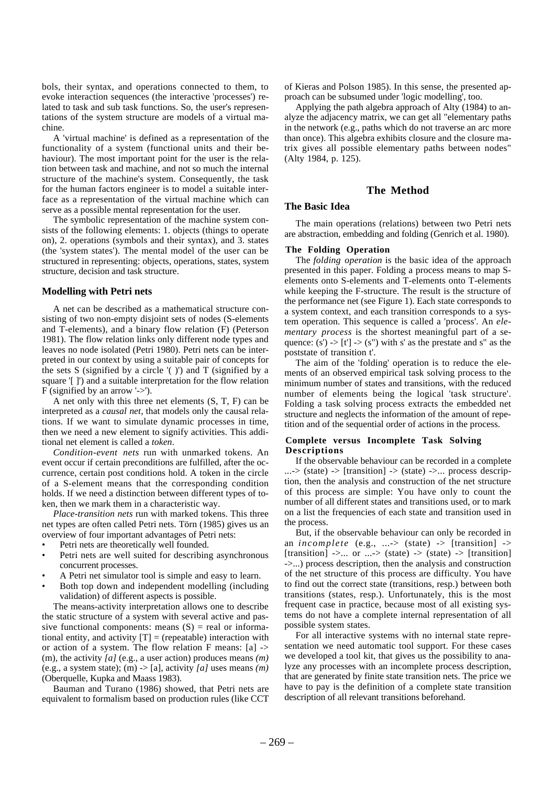bols, their syntax, and operations connected to them, to evoke interaction sequences (the interactive 'processes') related to task and sub task functions. So, the user's representations of the system structure are models of a virtual machine.

A 'virtual machine' is defined as a representation of the functionality of a system (functional units and their behaviour). The most important point for the user is the relation between task and machine, and not so much the internal structure of the machine's system. Consequently, the task for the human factors engineer is to model a suitable interface as a representation of the virtual machine which can serve as a possible mental representation for the user.

The symbolic representation of the machine system consists of the following elements: 1. objects (things to operate on), 2. operations (symbols and their syntax), and 3. states (the 'system states'). The mental model of the user can be structured in representing: objects, operations, states, system structure, decision and task structure.

### **Modelling with Petri nets**

A net can be described as a mathematical structure consisting of two non-empty disjoint sets of nodes (S-elements and T-elements), and a binary flow relation (F) (Peterson 1981). The flow relation links only different node types and leaves no node isolated (Petri 1980). Petri nets can be interpreted in our context by using a suitable pair of concepts for the sets  $S$  (signified by a circle  $'($  )') and  $T$  (signified by a square '[ ]') and a suitable interpretation for the flow relation F (signified by an arrow  $\ge$ ).

A net only with this three net elements (S, T, F) can be interpreted as a *causal net*, that models only the causal relations. If we want to simulate dynamic processes in time, then we need a new element to signify activities. This additional net element is called a *token*.

*Condition-event nets* run with unmarked tokens. An event occur if certain preconditions are fulfilled, after the occurrence, certain post conditions hold. A token in the circle of a S-element means that the corresponding condition holds. If we need a distinction between different types of token, then we mark them in a characteristic way.

*Place-transition nets* run with marked tokens. This three net types are often called Petri nets. Törn (1985) gives us an overview of four important advantages of Petri nets:

- Petri nets are theoretically well founded.
- Petri nets are well suited for describing asynchronous concurrent processes.
- A Petri net simulator tool is simple and easy to learn.
- Both top down and independent modelling (including validation) of different aspects is possible.

The means-activity interpretation allows one to describe the static structure of a system with several active and passive functional components: means  $(S)$  = real or informational entity, and activity  $[T] =$  (repeatable) interaction with or action of a system. The flow relation F means: [a] -> (m), the activity *[a]* (e.g., a user action) produces means *(m)* (e.g., a system state); (m)  $\rightarrow$  [a], activity *[a]* uses means *(m)* (Oberquelle, Kupka and Maass 1983).

Bauman and Turano (1986) showed, that Petri nets are equivalent to formalism based on production rules (like CCT

of Kieras and Polson 1985). In this sense, the presented approach can be subsumed under 'logic modelling', too.

Applying the path algebra approach of Alty (1984) to analyze the adjacency matrix, we can get all "elementary paths in the network (e.g., paths which do not traverse an arc more than once). This algebra exhibits closure and the closure matrix gives all possible elementary paths between nodes" (Alty 1984, p. 125).

## **The Method**

#### **The Basic Idea**

The main operations (relations) between two Petri nets are abstraction, embedding and folding (Genrich et al. 1980).

#### **The Folding Operation**

The *folding operation* is the basic idea of the approach presented in this paper. Folding a process means to map Selements onto S-elements and T-elements onto T-elements while keeping the F-structure. The result is the structure of the performance net (see Figure 1). Each state corresponds to a system context, and each transition corresponds to a system operation. This sequence is called a 'process'. An *elementary process* is the shortest meaningful part of a sequence:  $(s') \rightarrow [t'] \rightarrow (s'')$  with s' as the prestate and s'' as the poststate of transition t'.

The aim of the 'folding' operation is to reduce the elements of an observed empirical task solving process to the minimum number of states and transitions, with the reduced number of elements being the logical 'task structure'. Folding a task solving process extracts the embedded net structure and neglects the information of the amount of repetition and of the sequential order of actions in the process.

#### **Complete versus Incomplete Task Solving Descriptions**

If the observable behaviour can be recorded in a complete  $\ldots$  > (state) -> [transition] -> (state) -> $\ldots$  process description, then the analysis and construction of the net structure of this process are simple: You have only to count the number of all different states and transitions used, or to mark on a list the frequencies of each state and transition used in the process.

But, if the observable behaviour can only be recorded in an  $incomplete$  (e.g., ... > (state)  $\rightarrow$  [transition]  $\rightarrow$ [transition] ->... or ...-> (state) -> (state) -> [transition] ->...) process description, then the analysis and construction of the net structure of this process are difficulty. You have to find out the correct state (transitions, resp.) between both transitions (states, resp.). Unfortunately, this is the most frequent case in practice, because most of all existing systems do not have a complete internal representation of all possible system states.

For all interactive systems with no internal state representation we need automatic tool support. For these cases we developed a tool kit, that gives us the possibility to analyze any processes with an incomplete process description, that are generated by finite state transition nets. The price we have to pay is the definition of a complete state transition description of all relevant transitions beforehand.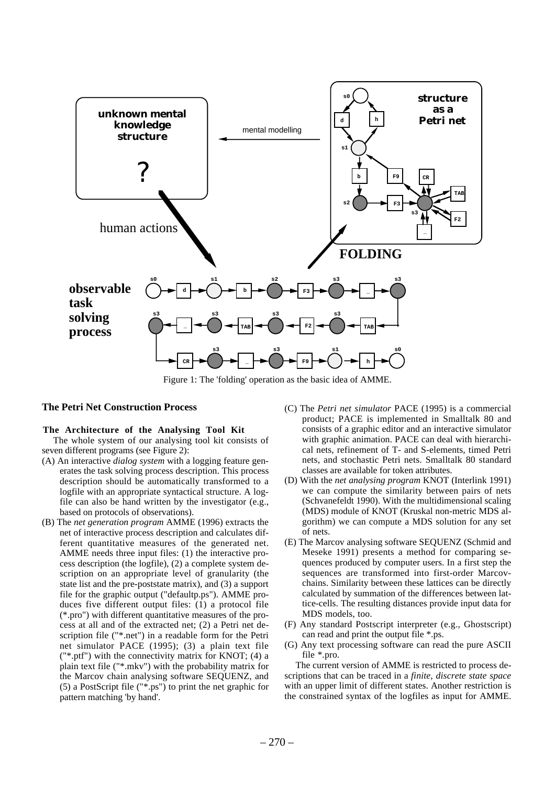

Figure 1: The 'folding' operation as the basic idea of AMME.

## **The Petri Net Construction Process**

### **The Architecture of the Analysing Tool Kit**

The whole system of our analysing tool kit consists of seven different programs (see Figure 2):

- (A) An interactive *dialog system* with a logging feature generates the task solving process description. This process description should be automatically transformed to a logfile with an appropriate syntactical structure. A logfile can also be hand written by the investigator (e.g., based on protocols of observations).
- (B) The *net generation program* AMME (1996) extracts the net of interactive process description and calculates different quantitative measures of the generated net. AMME needs three input files: (1) the interactive process description (the logfile), (2) a complete system description on an appropriate level of granularity (the state list and the pre-poststate matrix), and (3) a support file for the graphic output ("defaultp.ps"). AMME produces five different output files: (1) a protocol file (\*.pro") with different quantitative measures of the process at all and of the extracted net; (2) a Petri net description file ("\*.net") in a readable form for the Petri net simulator PACE (1995); (3) a plain text file ("\*.ptf") with the connectivity matrix for KNOT; (4) a plain text file ("\*.mkv") with the probability matrix for the Marcov chain analysing software SEQUENZ, and (5) a PostScript file ("\*.ps") to print the net graphic for pattern matching 'by hand'.
- (C) The *Petri net simulator* PACE (1995) is a commercial product; PACE is implemented in Smalltalk 80 and consists of a graphic editor and an interactive simulator with graphic animation. PACE can deal with hierarchical nets, refinement of T- and S-elements, timed Petri nets, and stochastic Petri nets. Smalltalk 80 standard classes are available for token attributes.
- (D) With the *net analysing program* KNOT (Interlink 1991) we can compute the similarity between pairs of nets (Schvanefeldt 1990). With the multidimensional scaling (MDS) module of KNOT (Kruskal non-metric MDS algorithm) we can compute a MDS solution for any set of nets.
- (E) The Marcov analysing software SEQUENZ (Schmid and Meseke 1991) presents a method for comparing sequences produced by computer users. In a first step the sequences are transformed into first-order Marcovchains. Similarity between these lattices can be directly calculated by summation of the differences between lattice-cells. The resulting distances provide input data for MDS models, too.
- (F) Any standard Postscript interpreter (e.g., Ghostscript) can read and print the output file \*.ps.
- (G) Any text processing software can read the pure ASCII file \*.pro.

The current version of AMME is restricted to process descriptions that can be traced in a *finite, discrete state space* with an upper limit of different states. Another restriction is the constrained syntax of the logfiles as input for AMME.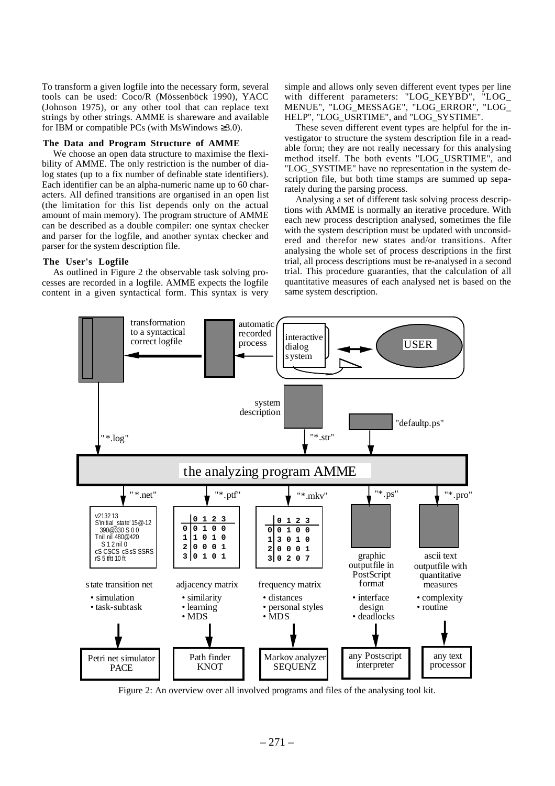To transform a given logfile into the necessary form, several tools can be used: Coco/R (Mössenböck 1990), YACC (Johnson 1975), or any other tool that can replace text strings by other strings. AMME is shareware and available for IBM or compatible PCs (with MsWindows  $\geq 3.0$ ).

#### **The Data and Program Structure of AMME**

We choose an open data structure to maximise the flexibility of AMME. The only restriction is the number of dialog states (up to a fix number of definable state identifiers). Each identifier can be an alpha-numeric name up to 60 characters. All defined transitions are organised in an open list (the limitation for this list depends only on the actual amount of main memory). The program structure of AMME can be described as a double compiler: one syntax checker and parser for the logfile, and another syntax checker and parser for the system description file.

#### **The User's Logfile**

As outlined in Figure 2 the observable task solving processes are recorded in a logfile. AMME expects the logfile content in a given syntactical form. This syntax is very simple and allows only seven different event types per line with different parameters: "LOG\_KEYBD", "LOG\_ MENUE", "LOG\_MESSAGE", "LOG\_ERROR", "LOG\_ HELP", "LOG\_USRTIME", and "LOG\_SYSTIME".

These seven different event types are helpful for the investigator to structure the system description file in a readable form; they are not really necessary for this analysing method itself. The both events "LOG\_USRTIME", and "LOG\_SYSTIME" have no representation in the system description file, but both time stamps are summed up separately during the parsing process.

Analysing a set of different task solving process descriptions with AMME is normally an iterative procedure. With each new process description analysed, sometimes the file with the system description must be updated with unconsidered and therefor new states and/or transitions. After analysing the whole set of process descriptions in the first trial, all process descriptions must be re-analysed in a second trial. This procedure guaranties, that the calculation of all quantitative measures of each analysed net is based on the same system description.



Figure 2: An overview over all involved programs and files of the analysing tool kit.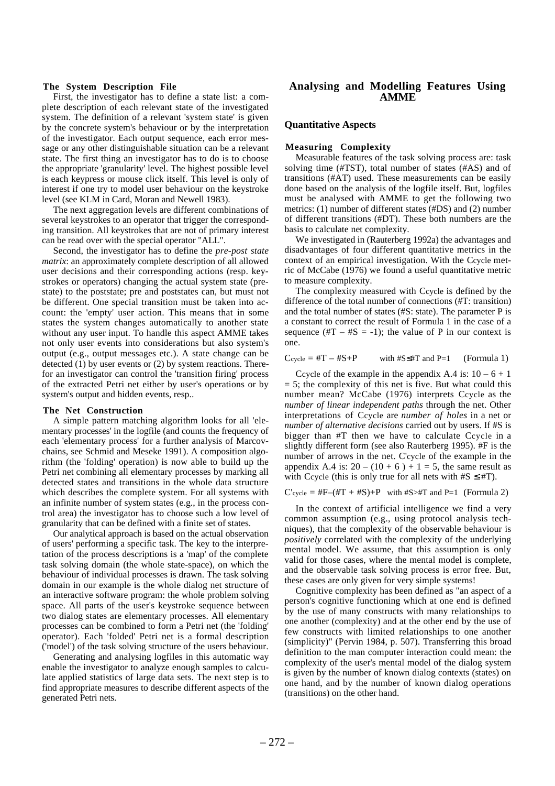#### **The System Description File**

First, the investigator has to define a state list: a complete description of each relevant state of the investigated system. The definition of a relevant 'system state' is given by the concrete system's behaviour or by the interpretation of the investigator. Each output sequence, each error message or any other distinguishable situation can be a relevant state. The first thing an investigator has to do is to choose the appropriate 'granularity' level. The highest possible level is each keypress or mouse click itself. This level is only of interest if one try to model user behaviour on the keystroke level (see KLM in Card, Moran and Newell 1983).

The next aggregation levels are different combinations of several keystrokes to an operator that trigger the corresponding transition. All keystrokes that are not of primary interest can be read over with the special operator "ALL".

Second, the investigator has to define the *pre-post state matrix*: an approximately complete description of all allowed user decisions and their corresponding actions (resp. keystrokes or operators) changing the actual system state (prestate) to the poststate; pre and poststates can, but must not be different. One special transition must be taken into account: the 'empty' user action. This means that in some states the system changes automatically to another state without any user input. To handle this aspect AMME takes not only user events into considerations but also system's output (e.g., output messages etc.). A state change can be detected (1) by user events or (2) by system reactions. Therefor an investigator can control the 'transition firing' process of the extracted Petri net either by user's operations or by system's output and hidden events, resp..

#### **The Net Construction**

A simple pattern matching algorithm looks for all 'elementary processes' in the logfile (and counts the frequency of each 'elementary process' for a further analysis of Marcovchains, see Schmid and Meseke 1991). A composition algorithm (the 'folding' operation) is now able to build up the Petri net combining all elementary processes by marking all detected states and transitions in the whole data structure which describes the complete system. For all systems with an infinite number of system states (e.g., in the process control area) the investigator has to choose such a low level of granularity that can be defined with a finite set of states.

Our analytical approach is based on the actual observation of users' performing a specific task. The key to the interpretation of the process descriptions is a 'map' of the complete task solving domain (the whole state-space), on which the behaviour of individual processes is drawn. The task solving domain in our example is the whole dialog net structure of an interactive software program: the whole problem solving space. All parts of the user's keystroke sequence between two dialog states are elementary processes. All elementary processes can be combined to form a Petri net (the 'folding' operator). Each 'folded' Petri net is a formal description ('model') of the task solving structure of the users behaviour.

Generating and analysing logfiles in this automatic way enable the investigator to analyze enough samples to calculate applied statistics of large data sets. The next step is to find appropriate measures to describe different aspects of the generated Petri nets.

## **Analysing and Modelling Features Using AMME**

#### **Quantitative Aspects**

#### **Measuring Complexity**

Measurable features of the task solving process are: task solving time (#TST), total number of states (#AS) and of transitions (#AT) used. These measurements can be easily done based on the analysis of the logfile itself. But, logfiles must be analysed with AMME to get the following two metrics: (1) number of different states (#DS) and (2) number of different transitions (#DT). These both numbers are the basis to calculate net complexity.

We investigated in (Rauterberg 1992a) the advantages and disadvantages of four different quantitative metrics in the context of an empirical investigation. With the Ccycle metric of McCabe (1976) we found a useful quantitative metric to measure complexity.

The complexity measured with Ccycle is defined by the difference of the total number of connections (#T: transition) and the total number of states (#S: state). The parameter P is a constant to correct the result of Formula 1 in the case of a sequence  $(\text{HT} - \text{H}S = -1)$ ; the value of P in our context is one.

 $C$ <sub>cycle</sub> = #T – #S+P with #S≤#T and P=1 (Formula 1)

Ccycle of the example in the appendix A.4 is:  $10 - 6 + 1$  $= 5$ ; the complexity of this net is five. But what could this number mean? McCabe (1976) interprets Ccycle as the *number of linear independent paths* through the net. Other interpretations of Ccycle are *number of holes* in a net or *number of alternative decisions* carried out by users. If #S is bigger than #T then we have to calculate Ccycle in a slightly different form (see also Rauterberg 1995). #F is the number of arrows in the net. C'cycle of the example in the appendix A.4 is:  $20 - (10 + 6) + 1 = 5$ , the same result as with Ccycle (this is only true for all nets with  $#S \leq #T$ ).

 $C'$ cycle = #F–(#T + #S)+P with #S>#T and P=1 (Formula 2)

In the context of artificial intelligence we find a very common assumption (e.g., using protocol analysis techniques), that the complexity of the observable behaviour is *positively* correlated with the complexity of the underlying mental model. We assume, that this assumption is only valid for those cases, where the mental model is complete, and the observable task solving process is error free. But, these cases are only given for very simple systems!

Cognitive complexity has been defined as "an aspect of a person's cognitive functioning which at one end is defined by the use of many constructs with many relationships to one another (complexity) and at the other end by the use of few constructs with limited relationships to one another (simplicity)" (Pervin 1984, p. 507). Transferring this broad definition to the man computer interaction could mean: the complexity of the user's mental model of the dialog system is given by the number of known dialog contexts (states) on one hand, and by the number of known dialog operations (transitions) on the other hand.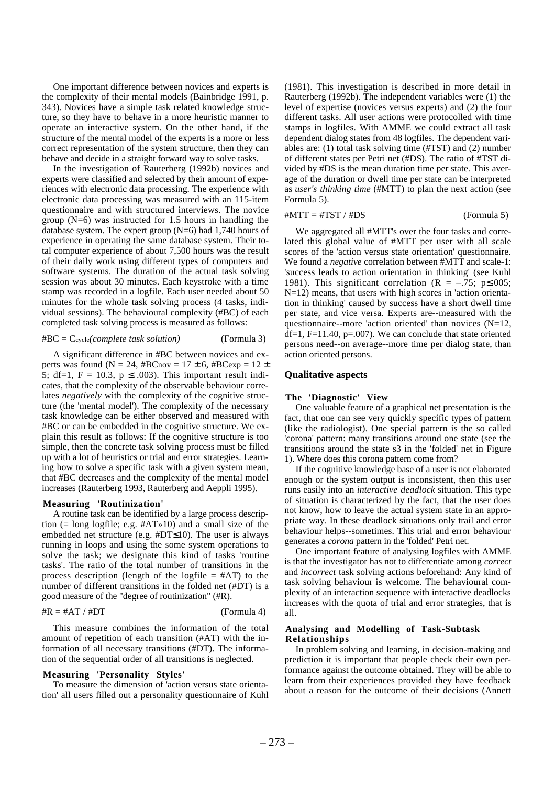One important difference between novices and experts is the complexity of their mental models (Bainbridge 1991, p. 343). Novices have a simple task related knowledge structure, so they have to behave in a more heuristic manner to operate an interactive system. On the other hand, if the structure of the mental model of the experts is a more or less correct representation of the system structure, then they can behave and decide in a straight forward way to solve tasks.

In the investigation of Rauterberg (1992b) novices and experts were classified and selected by their amount of experiences with electronic data processing. The experience with electronic data processing was measured with an 115-item questionnaire and with structured interviews. The novice group  $(N=6)$  was instructed for 1.5 hours in handling the database system. The expert group  $(N=6)$  had 1,740 hours of experience in operating the same database system. Their total computer experience of about 7,500 hours was the result of their daily work using different types of computers and software systems. The duration of the actual task solving session was about 30 minutes. Each keystroke with a time stamp was recorded in a logfile. Each user needed about 50 minutes for the whole task solving process (4 tasks, individual sessions). The behavioural complexity (#BC) of each completed task solving process is measured as follows:

#### #BC = Ccycle*(complete task solution)* (Formula 3)

A significant difference in #BC between novices and experts was found ( $N = 24$ , #BCnov = 17  $\pm$  6, #BCexp = 12  $\pm$ 5; df=1, F = 10.3, p  $\leq$  .003). This important result indicates, that the complexity of the observable behaviour correlates *negatively* with the complexity of the cognitive structure (the 'mental model'). The complexity of the necessary task knowledge can be either observed and measured with #BC or can be embedded in the cognitive structure. We explain this result as follows: If the cognitive structure is too simple, then the concrete task solving process must be filled up with a lot of heuristics or trial and error strategies. Learning how to solve a specific task with a given system mean, that #BC decreases and the complexity of the mental model increases (Rauterberg 1993, Rauterberg and Aeppli 1995).

#### **Measuring 'Routinization'**

A routine task can be identified by a large process description (= long logfile; e.g. #AT»10) and a small size of the embedded net structure (e.g. #DT≤10). The user is always running in loops and using the some system operations to solve the task; we designate this kind of tasks 'routine tasks'. The ratio of the total number of transitions in the process description (length of the logfile  $=$  #AT) to the number of different transitions in the folded net (#DT) is a good measure of the "degree of routinization" (#R).

#### $\#R = \#AT / \#DT$  (Formula 4)

This measure combines the information of the total amount of repetition of each transition (#AT) with the information of all necessary transitions (#DT). The information of the sequential order of all transitions is neglected.

#### **Measuring 'Personality Styles'**

To measure the dimension of 'action versus state orientation' all users filled out a personality questionnaire of Kuhl (1981). This investigation is described in more detail in Rauterberg (1992b). The independent variables were (1) the level of expertise (novices versus experts) and (2) the four different tasks. All user actions were protocolled with time stamps in logfiles. With AMME we could extract all task dependent dialog states from 48 logfiles. The dependent variables are: (1) total task solving time (#TST) and (2) number of different states per Petri net (#DS). The ratio of #TST divided by #DS is the mean duration time per state. This average of the duration or dwell time per state can be interpreted as *user's thinking time* (#MTT) to plan the next action (see Formula 5).

#### $\#MTT = \#TST / \#DS$  (Formula 5)

We aggregated all #MTT's over the four tasks and correlated this global value of #MTT per user with all scale scores of the 'action versus state orientation' questionnaire. We found a *negative* correlation between #MTT and scale-1: 'success leads to action orientation in thinking' (see Kuhl 1981). This significant correlation ( $R = -.75$ ; p $\leq .005$ ; N=12) means, that users with high scores in 'action orientation in thinking' caused by success have a short dwell time per state, and vice versa. Experts are--measured with the questionnaire--more 'action oriented' than novices  $(N=12)$ ,  $df=1$ ,  $F=11.40$ ,  $p=.007$ ). We can conclude that state oriented persons need--on average--more time per dialog state, than action oriented persons.

## **Qualitative aspects**

#### **The 'Diagnostic' View**

One valuable feature of a graphical net presentation is the fact, that one can see very quickly specific types of pattern (like the radiologist). One special pattern is the so called 'corona' pattern: many transitions around one state (see the transitions around the state s3 in the 'folded' net in Figure 1). Where does this corona pattern come from?

If the cognitive knowledge base of a user is not elaborated enough or the system output is inconsistent, then this user runs easily into an *interactive deadlock* situation. This type of situation is characterized by the fact, that the user does not know, how to leave the actual system state in an appropriate way. In these deadlock situations only trail and error behaviour helps--sometimes. This trial and error behaviour generates a *corona* pattern in the 'folded' Petri net.

One important feature of analysing logfiles with AMME is that the investigator has not to differentiate among *correct* and *incorrect* task solving actions beforehand: Any kind of task solving behaviour is welcome. The behavioural complexity of an interaction sequence with interactive deadlocks increases with the quota of trial and error strategies, that is all.

### **Analysing and Modelling of Task-Subtask Relationships**

In problem solving and learning, in decision-making and prediction it is important that people check their own performance against the outcome obtained. They will be able to learn from their experiences provided they have feedback about a reason for the outcome of their decisions (Annett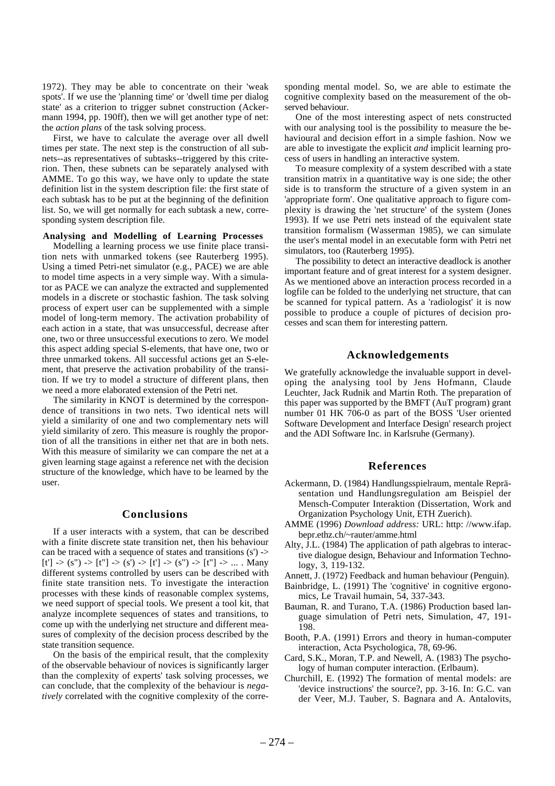1972). They may be able to concentrate on their 'weak spots'. If we use the 'planning time' or 'dwell time per dialog state' as a criterion to trigger subnet construction (Ackermann 1994, pp. 190ff), then we will get another type of net: the *action plans* of the task solving process.

First, we have to calculate the average over all dwell times per state. The next step is the construction of all subnets--as representatives of subtasks--triggered by this criterion. Then, these subnets can be separately analysed with AMME. To go this way, we have only to update the state definition list in the system description file: the first state of each subtask has to be put at the beginning of the definition list. So, we will get normally for each subtask a new, corresponding system description file.

### **Analysing and Modelling of Learning Processes**

Modelling a learning process we use finite place transition nets with unmarked tokens (see Rauterberg 1995). Using a timed Petri-net simulator (e.g., PACE) we are able to model time aspects in a very simple way. With a simulator as PACE we can analyze the extracted and supplemented models in a discrete or stochastic fashion. The task solving process of expert user can be supplemented with a simple model of long-term memory. The activation probability of each action in a state, that was unsuccessful, decrease after one, two or three unsuccessful executions to zero. We model this aspect adding special S-elements, that have one, two or three unmarked tokens. All successful actions get an S-element, that preserve the activation probability of the transition. If we try to model a structure of different plans, then we need a more elaborated extension of the Petri net.

The similarity in KNOT is determined by the correspondence of transitions in two nets. Two identical nets will yield a similarity of one and two complementary nets will yield similarity of zero. This measure is roughly the proportion of all the transitions in either net that are in both nets. With this measure of similarity we can compare the net at a given learning stage against a reference net with the decision structure of the knowledge, which have to be learned by the user.

#### **Conclusions**

If a user interacts with a system, that can be described with a finite discrete state transition net, then his behaviour can be traced with a sequence of states and transitions (s') ->  $[t'] \rightarrow (s'') \rightarrow [t''] \rightarrow (s') \rightarrow [t'] \rightarrow (s'') \rightarrow [t''] \rightarrow ...$  Many different systems controlled by users can be described with finite state transition nets. To investigate the interaction processes with these kinds of reasonable complex systems, we need support of special tools. We present a tool kit, that analyze incomplete sequences of states and transitions, to come up with the underlying net structure and different measures of complexity of the decision process described by the state transition sequence.

On the basis of the empirical result, that the complexity of the observable behaviour of novices is significantly larger than the complexity of experts' task solving processes, we can conclude, that the complexity of the behaviour is *negatively* correlated with the cognitive complexity of the corresponding mental model. So, we are able to estimate the cognitive complexity based on the measurement of the observed behaviour.

One of the most interesting aspect of nets constructed with our analysing tool is the possibility to measure the behavioural and decision effort in a simple fashion. Now we are able to investigate the explicit *and* implicit learning process of users in handling an interactive system.

To measure complexity of a system described with a state transition matrix in a quantitative way is one side; the other side is to transform the structure of a given system in an 'appropriate form'. One qualitative approach to figure complexity is drawing the 'net structure' of the system (Jones 1993). If we use Petri nets instead of the equivalent state transition formalism (Wasserman 1985), we can simulate the user's mental model in an executable form with Petri net simulators, too (Rauterberg 1995).

The possibility to detect an interactive deadlock is another important feature and of great interest for a system designer. As we mentioned above an interaction process recorded in a logfile can be folded to the underlying net structure, that can be scanned for typical pattern. As a 'radiologist' it is now possible to produce a couple of pictures of decision processes and scan them for interesting pattern.

### **Acknowledgements**

We gratefully acknowledge the invaluable support in developing the analysing tool by Jens Hofmann, Claude Leuchter, Jack Rudnik and Martin Roth. The preparation of this paper was supported by the BMFT (AuT program) grant number 01 HK 706-0 as part of the BOSS 'User oriented Software Development and Interface Design' research project and the ADI Software Inc. in Karlsruhe (Germany).

## **References**

- Ackermann, D. (1984) Handlungsspielraum, mentale Repräsentation und Handlungsregulation am Beispiel der Mensch-Computer Interaktion (Dissertation, Work and Organization Psychology Unit, ETH Zuerich).
- AMME (1996) *Download address:* URL: http: //www.ifap. bepr.ethz.ch/~rauter/amme.html
- Alty, J.L. (1984) The application of path algebras to interactive dialogue design, Behaviour and Information Technology, 3, 119-132.
- Annett, J. (1972) Feedback and human behaviour (Penguin).
- Bainbridge, L. (1991) The 'cognitive' in cognitive ergonomics, Le Travail humain, 54, 337-343.
- Bauman, R. and Turano, T.A. (1986) Production based language simulation of Petri nets, Simulation, 47, 191- 198.
- Booth, P.A. (1991) Errors and theory in human-computer interaction, Acta Psychologica, 78, 69-96.
- Card, S.K., Moran, T.P. and Newell, A. (1983) The psychology of human computer interaction. (Erlbaum).
- Churchill, E. (1992) The formation of mental models: are 'device instructions' the source?, pp. 3-16. In: G.C. van der Veer, M.J. Tauber, S. Bagnara and A. Antalovits,